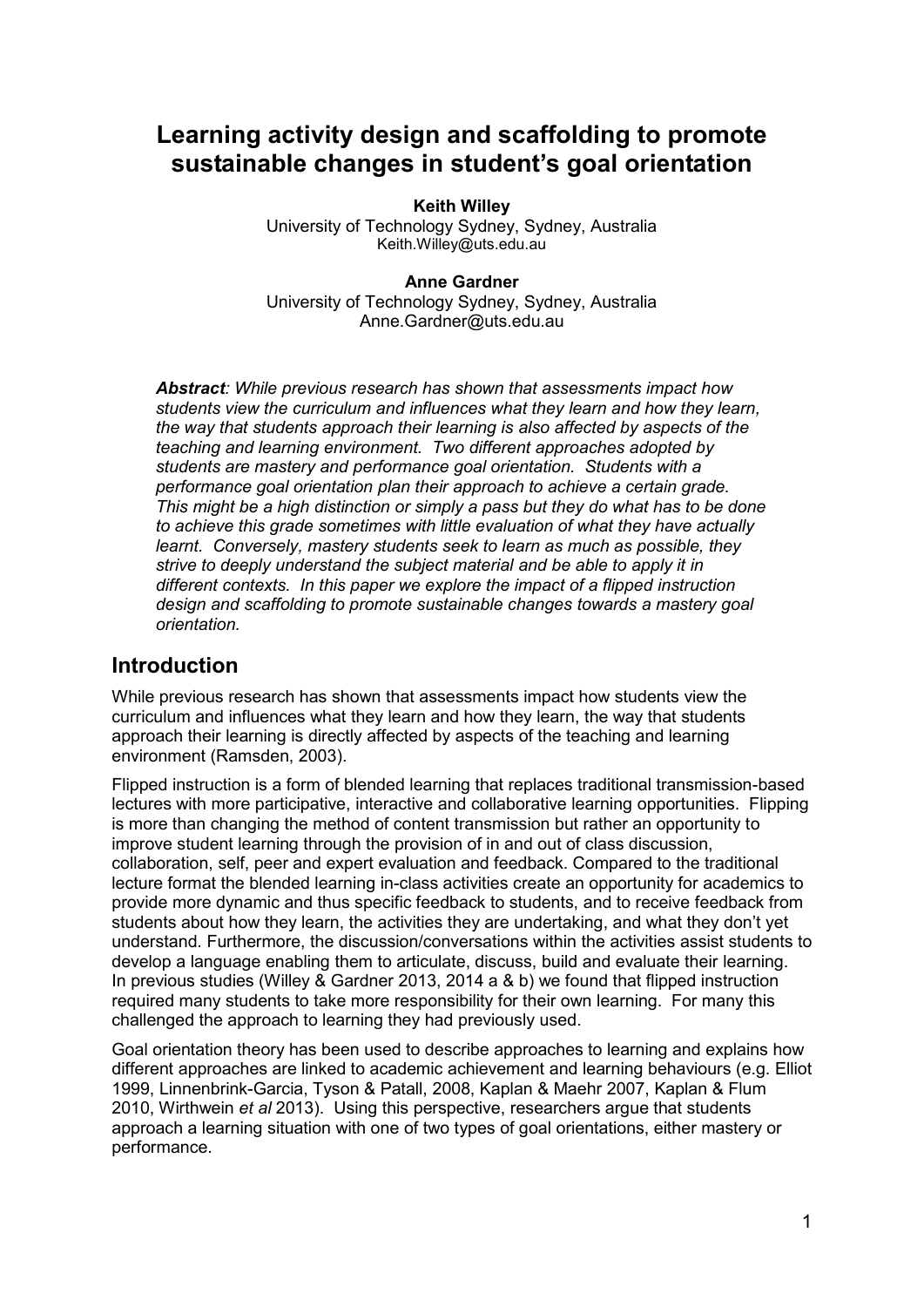# **Learning activity design and scaffolding to promote sustainable changes in student's goal orientation**

**Keith Willey** University of Technology Sydney, Sydney, Australia Keith.Willey@uts.edu.au

**Anne Gardner** University of Technology Sydney, Sydney, Australia Anne.Gardner@uts.edu.au

*Abstract: While previous research has shown that assessments impact how students view the curriculum and influences what they learn and how they learn, the way that students approach their learning is also affected by aspects of the teaching and learning environment. Two different approaches adopted by students are mastery and performance goal orientation. Students with a performance goal orientation plan their approach to achieve a certain grade. This might be a high distinction or simply a pass but they do what has to be done to achieve this grade sometimes with little evaluation of what they have actually learnt. Conversely, mastery students seek to learn as much as possible, they strive to deeply understand the subject material and be able to apply it in different contexts. In this paper we explore the impact of a flipped instruction design and scaffolding to promote sustainable changes towards a mastery goal orientation.*

### **Introduction**

While previous research has shown that assessments impact how students view the curriculum and influences what they learn and how they learn, the way that students approach their learning is directly affected by aspects of the teaching and learning environment (Ramsden, 2003).

Flipped instruction is a form of blended learning that replaces traditional transmission-based lectures with more participative, interactive and collaborative learning opportunities. Flipping is more than changing the method of content transmission but rather an opportunity to improve student learning through the provision of in and out of class discussion, collaboration, self, peer and expert evaluation and feedback. Compared to the traditional lecture format the blended learning in-class activities create an opportunity for academics to provide more dynamic and thus specific feedback to students, and to receive feedback from students about how they learn, the activities they are undertaking, and what they don"t yet understand. Furthermore, the discussion/conversations within the activities assist students to develop a language enabling them to articulate, discuss, build and evaluate their learning. In previous studies (Willey & Gardner 2013, 2014 a & b) we found that flipped instruction required many students to take more responsibility for their own learning. For many this challenged the approach to learning they had previously used.

Goal orientation theory has been used to describe approaches to learning and explains how different approaches are linked to academic achievement and learning behaviours (e.g. Elliot 1999, Linnenbrink-Garcia, Tyson & Patall, 2008, Kaplan & Maehr 2007, Kaplan & Flum 2010, Wirthwein *et al* 2013). Using this perspective, researchers argue that students approach a learning situation with one of two types of goal orientations, either mastery or performance.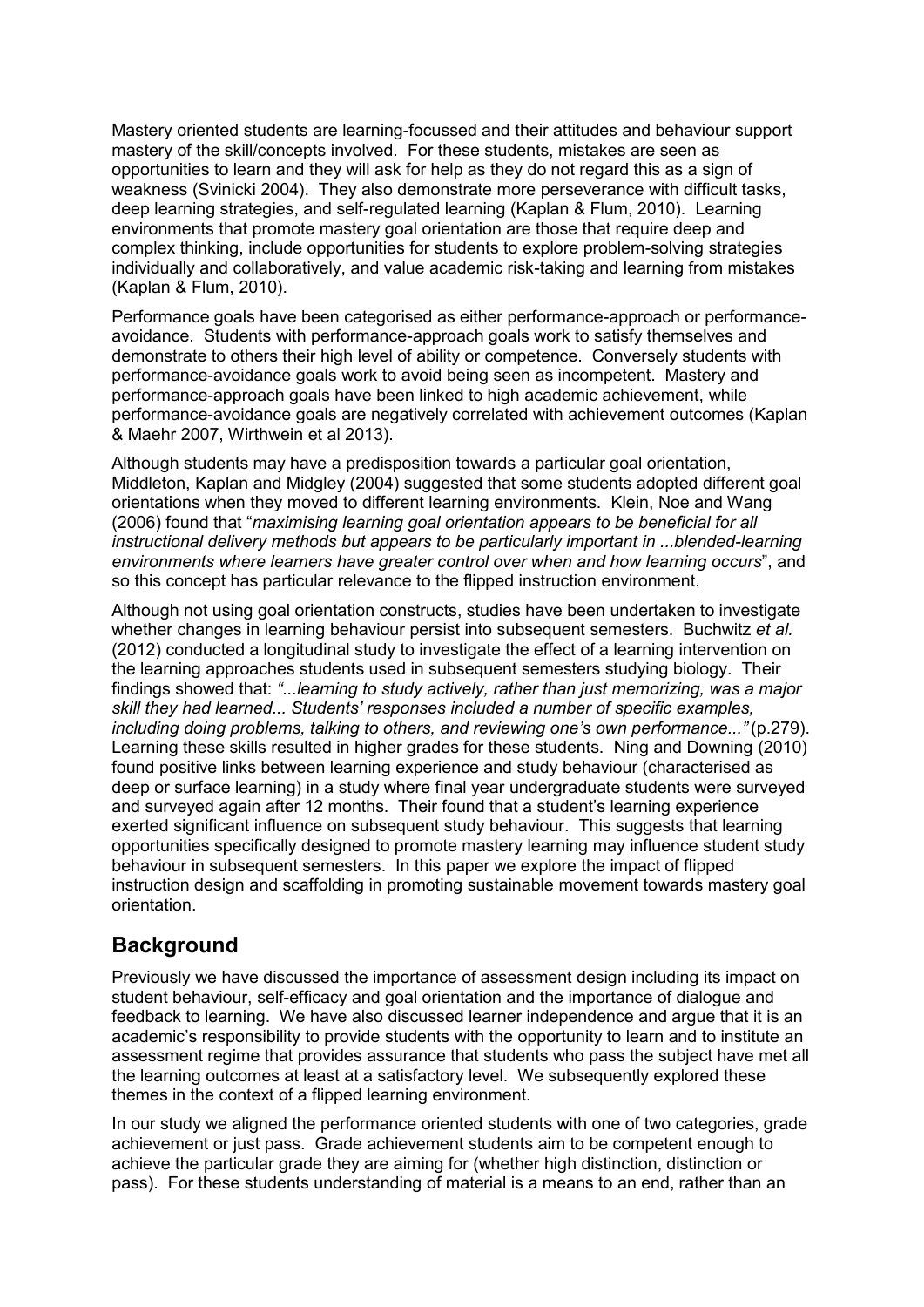Mastery oriented students are learning-focussed and their attitudes and behaviour support mastery of the skill/concepts involved. For these students, mistakes are seen as opportunities to learn and they will ask for help as they do not regard this as a sign of weakness (Svinicki 2004). They also demonstrate more perseverance with difficult tasks, deep learning strategies, and self-regulated learning (Kaplan & Flum, 2010). Learning environments that promote mastery goal orientation are those that require deep and complex thinking, include opportunities for students to explore problem-solving strategies individually and collaboratively, and value academic risk-taking and learning from mistakes (Kaplan & Flum, 2010).

Performance goals have been categorised as either performance-approach or performanceavoidance. Students with performance-approach goals work to satisfy themselves and demonstrate to others their high level of ability or competence. Conversely students with performance-avoidance goals work to avoid being seen as incompetent. Mastery and performance-approach goals have been linked to high academic achievement, while performance-avoidance goals are negatively correlated with achievement outcomes (Kaplan & Maehr 2007, Wirthwein et al 2013).

Although students may have a predisposition towards a particular goal orientation, Middleton, Kaplan and Midgley (2004) suggested that some students adopted different goal orientations when they moved to different learning environments. Klein, Noe and Wang (2006) found that "*maximising learning goal orientation appears to be beneficial for all instructional delivery methods but appears to be particularly important in ...blended-learning environments where learners have greater control over when and how learning occurs*", and so this concept has particular relevance to the flipped instruction environment.

Although not using goal orientation constructs, studies have been undertaken to investigate whether changes in learning behaviour persist into subsequent semesters. Buchwitz *et al.* (2012) conducted a longitudinal study to investigate the effect of a learning intervention on the learning approaches students used in subsequent semesters studying biology. Their findings showed that: *"...learning to study actively, rather than just memorizing, was a major skill they had learned... Students' responses included a number of specific examples, including doing problems, talking to others, and reviewing one's own performance..."* (p.279). Learning these skills resulted in higher grades for these students. Ning and Downing (2010) found positive links between learning experience and study behaviour (characterised as deep or surface learning) in a study where final year undergraduate students were surveyed and surveyed again after 12 months. Their found that a student's learning experience exerted significant influence on subsequent study behaviour. This suggests that learning opportunities specifically designed to promote mastery learning may influence student study behaviour in subsequent semesters. In this paper we explore the impact of flipped instruction design and scaffolding in promoting sustainable movement towards mastery goal orientation.

## **Background**

Previously we have discussed the importance of assessment design including its impact on student behaviour, self-efficacy and goal orientation and the importance of dialogue and feedback to learning. We have also discussed learner independence and argue that it is an academic"s responsibility to provide students with the opportunity to learn and to institute an assessment regime that provides assurance that students who pass the subject have met all the learning outcomes at least at a satisfactory level. We subsequently explored these themes in the context of a flipped learning environment.

In our study we aligned the performance oriented students with one of two categories, grade achievement or just pass. Grade achievement students aim to be competent enough to achieve the particular grade they are aiming for (whether high distinction, distinction or pass). For these students understanding of material is a means to an end, rather than an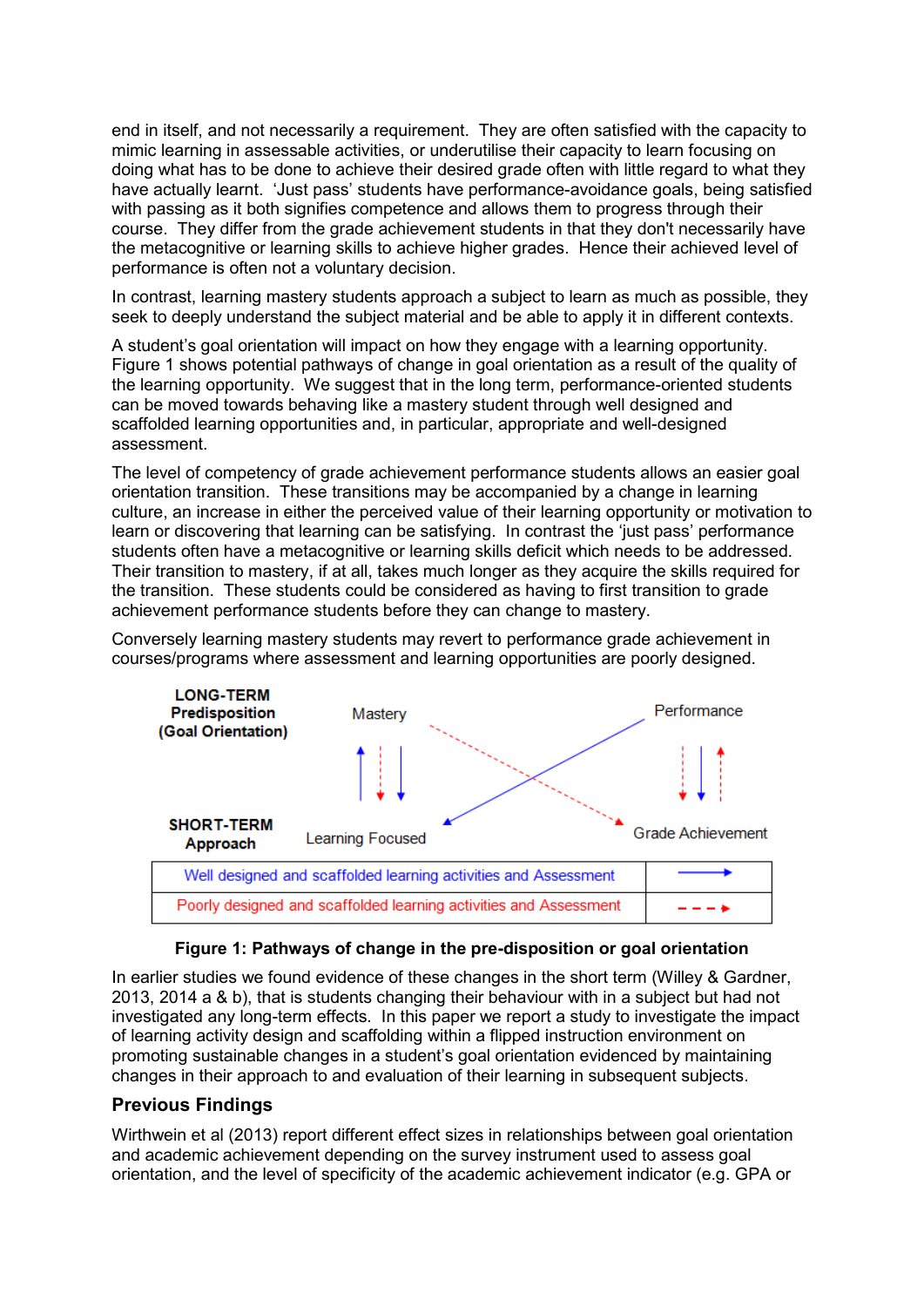end in itself, and not necessarily a requirement. They are often satisfied with the capacity to mimic learning in assessable activities, or underutilise their capacity to learn focusing on doing what has to be done to achieve their desired grade often with little regard to what they have actually learnt. "Just pass" students have performance-avoidance goals, being satisfied with passing as it both signifies competence and allows them to progress through their course. They differ from the grade achievement students in that they don't necessarily have the metacognitive or learning skills to achieve higher grades. Hence their achieved level of performance is often not a voluntary decision.

In contrast, learning mastery students approach a subject to learn as much as possible, they seek to deeply understand the subject material and be able to apply it in different contexts.

A student"s goal orientation will impact on how they engage with a learning opportunity. Figure 1 shows potential pathways of change in goal orientation as a result of the quality of the learning opportunity. We suggest that in the long term, performance-oriented students can be moved towards behaving like a mastery student through well designed and scaffolded learning opportunities and, in particular, appropriate and well-designed assessment.

The level of competency of grade achievement performance students allows an easier goal orientation transition. These transitions may be accompanied by a change in learning culture, an increase in either the perceived value of their learning opportunity or motivation to learn or discovering that learning can be satisfying. In contrast the "just pass" performance students often have a metacognitive or learning skills deficit which needs to be addressed. Their transition to mastery, if at all, takes much longer as they acquire the skills required for the transition. These students could be considered as having to first transition to grade achievement performance students before they can change to mastery.

Conversely learning mastery students may revert to performance grade achievement in courses/programs where assessment and learning opportunities are poorly designed.



### **Figure 1: Pathways of change in the pre-disposition or goal orientation**

In earlier studies we found evidence of these changes in the short term (Willey & Gardner, 2013, 2014 a & b), that is students changing their behaviour with in a subject but had not investigated any long-term effects. In this paper we report a study to investigate the impact of learning activity design and scaffolding within a flipped instruction environment on promoting sustainable changes in a student"s goal orientation evidenced by maintaining changes in their approach to and evaluation of their learning in subsequent subjects.

### **Previous Findings**

Wirthwein et al (2013) report different effect sizes in relationships between goal orientation and academic achievement depending on the survey instrument used to assess goal orientation, and the level of specificity of the academic achievement indicator (e.g. GPA or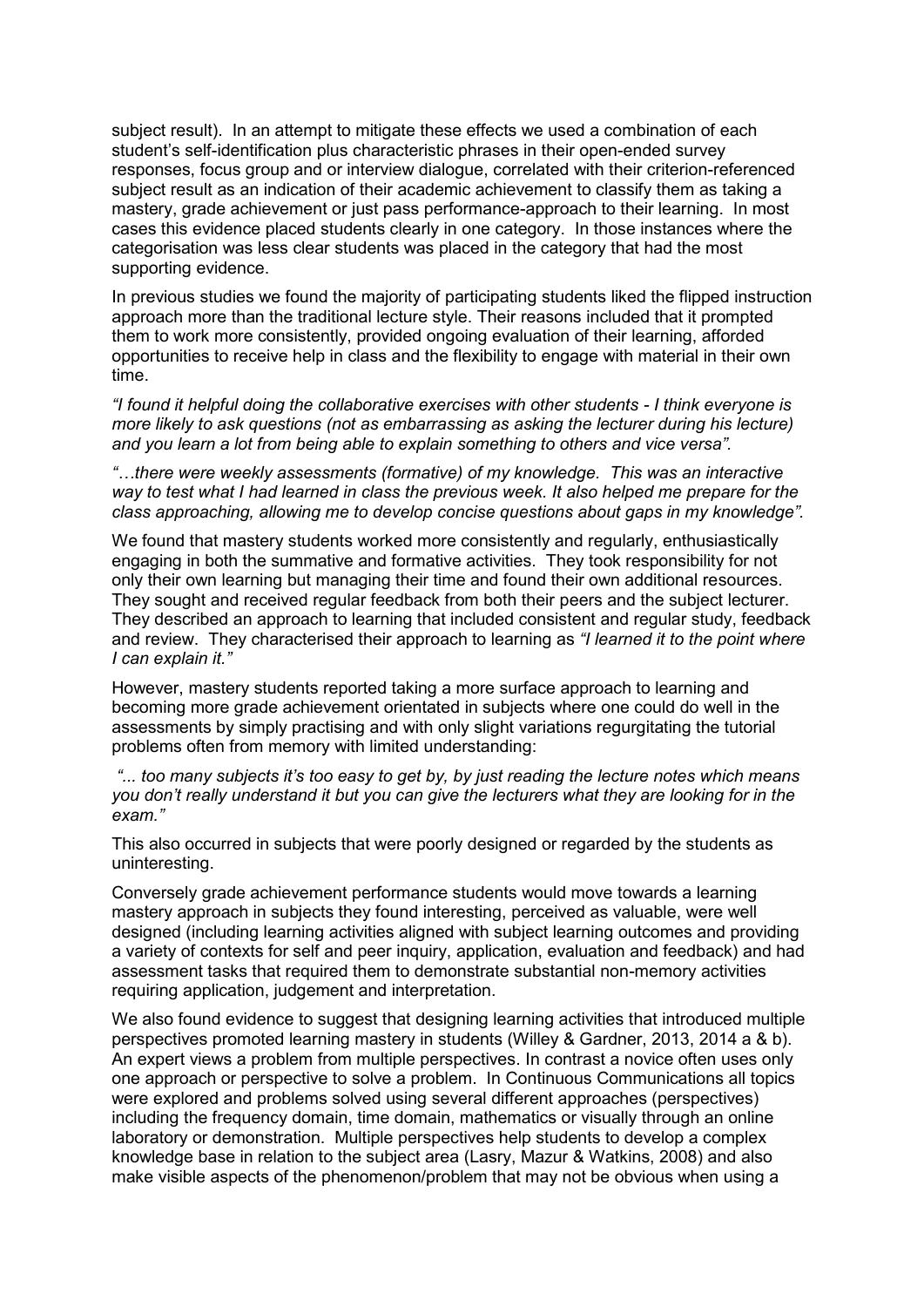subject result). In an attempt to mitigate these effects we used a combination of each student"s self-identification plus characteristic phrases in their open-ended survey responses, focus group and or interview dialogue, correlated with their criterion-referenced subject result as an indication of their academic achievement to classify them as taking a mastery, grade achievement or just pass performance-approach to their learning. In most cases this evidence placed students clearly in one category. In those instances where the categorisation was less clear students was placed in the category that had the most supporting evidence.

In previous studies we found the majority of participating students liked the flipped instruction approach more than the traditional lecture style. Their reasons included that it prompted them to work more consistently, provided ongoing evaluation of their learning, afforded opportunities to receive help in class and the flexibility to engage with material in their own time.

*"I found it helpful doing the collaborative exercises with other students - I think everyone is more likely to ask questions (not as embarrassing as asking the lecturer during his lecture) and you learn a lot from being able to explain something to others and vice versa".*

*"…there were weekly assessments (formative) of my knowledge. This was an interactive way to test what I had learned in class the previous week. It also helped me prepare for the class approaching, allowing me to develop concise questions about gaps in my knowledge".*

We found that mastery students worked more consistently and regularly, enthusiastically engaging in both the summative and formative activities. They took responsibility for not only their own learning but managing their time and found their own additional resources. They sought and received regular feedback from both their peers and the subject lecturer. They described an approach to learning that included consistent and regular study, feedback and review. They characterised their approach to learning as *"I learned it to the point where I can explain it."*

However, mastery students reported taking a more surface approach to learning and becoming more grade achievement orientated in subjects where one could do well in the assessments by simply practising and with only slight variations regurgitating the tutorial problems often from memory with limited understanding:

*"... too many subjects it's too easy to get by, by just reading the lecture notes which means you don't really understand it but you can give the lecturers what they are looking for in the exam."*

This also occurred in subjects that were poorly designed or regarded by the students as uninteresting.

Conversely grade achievement performance students would move towards a learning mastery approach in subjects they found interesting, perceived as valuable, were well designed (including learning activities aligned with subject learning outcomes and providing a variety of contexts for self and peer inquiry, application, evaluation and feedback) and had assessment tasks that required them to demonstrate substantial non-memory activities requiring application, judgement and interpretation.

We also found evidence to suggest that designing learning activities that introduced multiple perspectives promoted learning mastery in students (Willey & Gardner, 2013, 2014 a & b). An expert views a problem from multiple perspectives. In contrast a novice often uses only one approach or perspective to solve a problem. In Continuous Communications all topics were explored and problems solved using several different approaches (perspectives) including the frequency domain, time domain, mathematics or visually through an online laboratory or demonstration. Multiple perspectives help students to develop a complex knowledge base in relation to the subject area (Lasry, Mazur & Watkins, 2008) and also make visible aspects of the phenomenon/problem that may not be obvious when using a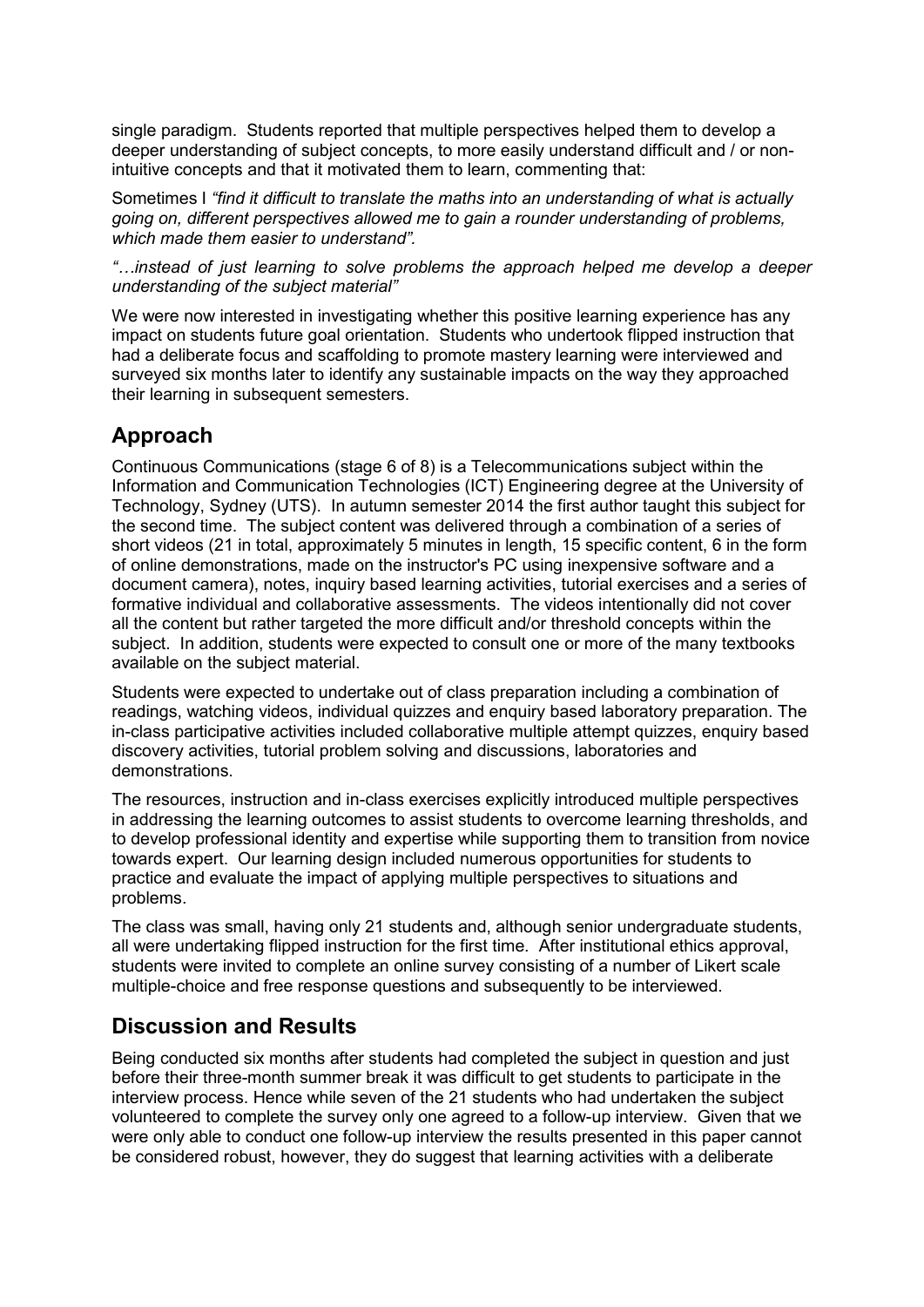single paradigm. Students reported that multiple perspectives helped them to develop a deeper understanding of subject concepts, to more easily understand difficult and / or nonintuitive concepts and that it motivated them to learn, commenting that:

Sometimes I *"find it difficult to translate the maths into an understanding of what is actually going on, different perspectives allowed me to gain a rounder understanding of problems, which made them easier to understand".*

*"…instead of just learning to solve problems the approach helped me develop a deeper understanding of the subject material"*

We were now interested in investigating whether this positive learning experience has any impact on students future goal orientation. Students who undertook flipped instruction that had a deliberate focus and scaffolding to promote mastery learning were interviewed and surveyed six months later to identify any sustainable impacts on the way they approached their learning in subsequent semesters.

# **Approach**

Continuous Communications (stage 6 of 8) is a Telecommunications subject within the Information and Communication Technologies (ICT) Engineering degree at the University of Technology, Sydney (UTS). In autumn semester 2014 the first author taught this subject for the second time. The subject content was delivered through a combination of a series of short videos (21 in total, approximately 5 minutes in length, 15 specific content, 6 in the form of online demonstrations, made on the instructor's PC using inexpensive software and a document camera), notes, inquiry based learning activities, tutorial exercises and a series of formative individual and collaborative assessments. The videos intentionally did not cover all the content but rather targeted the more difficult and/or threshold concepts within the subject. In addition, students were expected to consult one or more of the many textbooks available on the subject material.

Students were expected to undertake out of class preparation including a combination of readings, watching videos, individual quizzes and enquiry based laboratory preparation. The in-class participative activities included collaborative multiple attempt quizzes, enquiry based discovery activities, tutorial problem solving and discussions, laboratories and demonstrations.

The resources, instruction and in-class exercises explicitly introduced multiple perspectives in addressing the learning outcomes to assist students to overcome learning thresholds, and to develop professional identity and expertise while supporting them to transition from novice towards expert. Our learning design included numerous opportunities for students to practice and evaluate the impact of applying multiple perspectives to situations and problems.

The class was small, having only 21 students and, although senior undergraduate students, all were undertaking flipped instruction for the first time. After institutional ethics approval, students were invited to complete an online survey consisting of a number of Likert scale multiple-choice and free response questions and subsequently to be interviewed.

## **Discussion and Results**

Being conducted six months after students had completed the subject in question and just before their three-month summer break it was difficult to get students to participate in the interview process. Hence while seven of the 21 students who had undertaken the subject volunteered to complete the survey only one agreed to a follow-up interview. Given that we were only able to conduct one follow-up interview the results presented in this paper cannot be considered robust, however, they do suggest that learning activities with a deliberate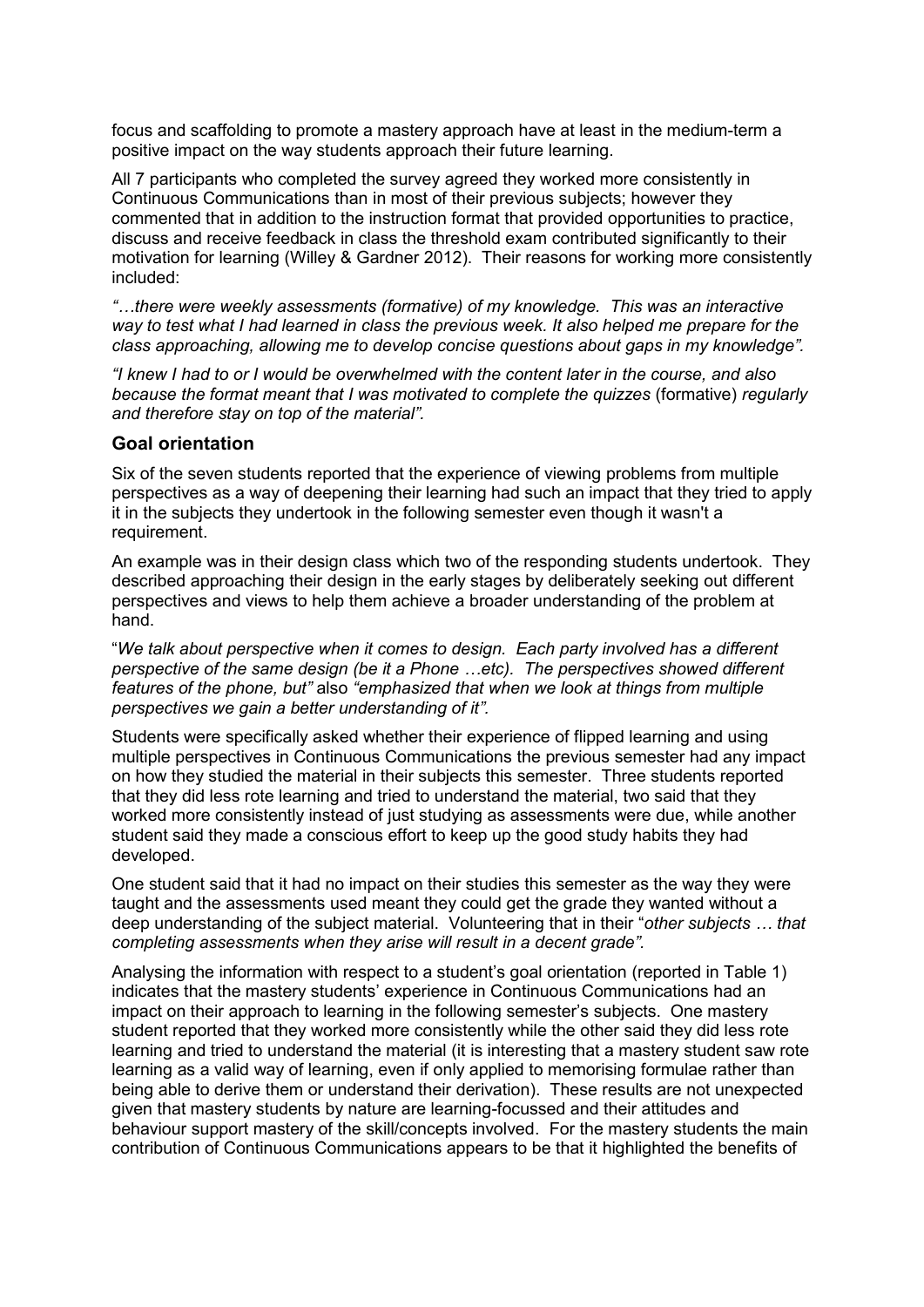focus and scaffolding to promote a mastery approach have at least in the medium-term a positive impact on the way students approach their future learning.

All 7 participants who completed the survey agreed they worked more consistently in Continuous Communications than in most of their previous subjects; however they commented that in addition to the instruction format that provided opportunities to practice, discuss and receive feedback in class the threshold exam contributed significantly to their motivation for learning (Willey & Gardner 2012). Their reasons for working more consistently included:

*"…there were weekly assessments (formative) of my knowledge. This was an interactive way to test what I had learned in class the previous week. It also helped me prepare for the class approaching, allowing me to develop concise questions about gaps in my knowledge".*

*"I knew I had to or I would be overwhelmed with the content later in the course, and also because the format meant that I was motivated to complete the quizzes* (formative) *regularly and therefore stay on top of the material".*

### **Goal orientation**

Six of the seven students reported that the experience of viewing problems from multiple perspectives as a way of deepening their learning had such an impact that they tried to apply it in the subjects they undertook in the following semester even though it wasn't a requirement.

An example was in their design class which two of the responding students undertook. They described approaching their design in the early stages by deliberately seeking out different perspectives and views to help them achieve a broader understanding of the problem at hand.

"*We talk about perspective when it comes to design. Each party involved has a different perspective of the same design (be it a Phone …etc). The perspectives showed different features of the phone, but"* also *"emphasized that when we look at things from multiple perspectives we gain a better understanding of it".*

Students were specifically asked whether their experience of flipped learning and using multiple perspectives in Continuous Communications the previous semester had any impact on how they studied the material in their subjects this semester. Three students reported that they did less rote learning and tried to understand the material, two said that they worked more consistently instead of just studying as assessments were due, while another student said they made a conscious effort to keep up the good study habits they had developed.

One student said that it had no impact on their studies this semester as the way they were taught and the assessments used meant they could get the grade they wanted without a deep understanding of the subject material. Volunteering that in their "*other subjects … that completing assessments when they arise will result in a decent grade".*

Analysing the information with respect to a student's goal orientation (reported in Table 1) indicates that the mastery students' experience in Continuous Communications had an impact on their approach to learning in the following semester"s subjects. One mastery student reported that they worked more consistently while the other said they did less rote learning and tried to understand the material (it is interesting that a mastery student saw rote learning as a valid way of learning, even if only applied to memorising formulae rather than being able to derive them or understand their derivation). These results are not unexpected given that mastery students by nature are learning-focussed and their attitudes and behaviour support mastery of the skill/concepts involved. For the mastery students the main contribution of Continuous Communications appears to be that it highlighted the benefits of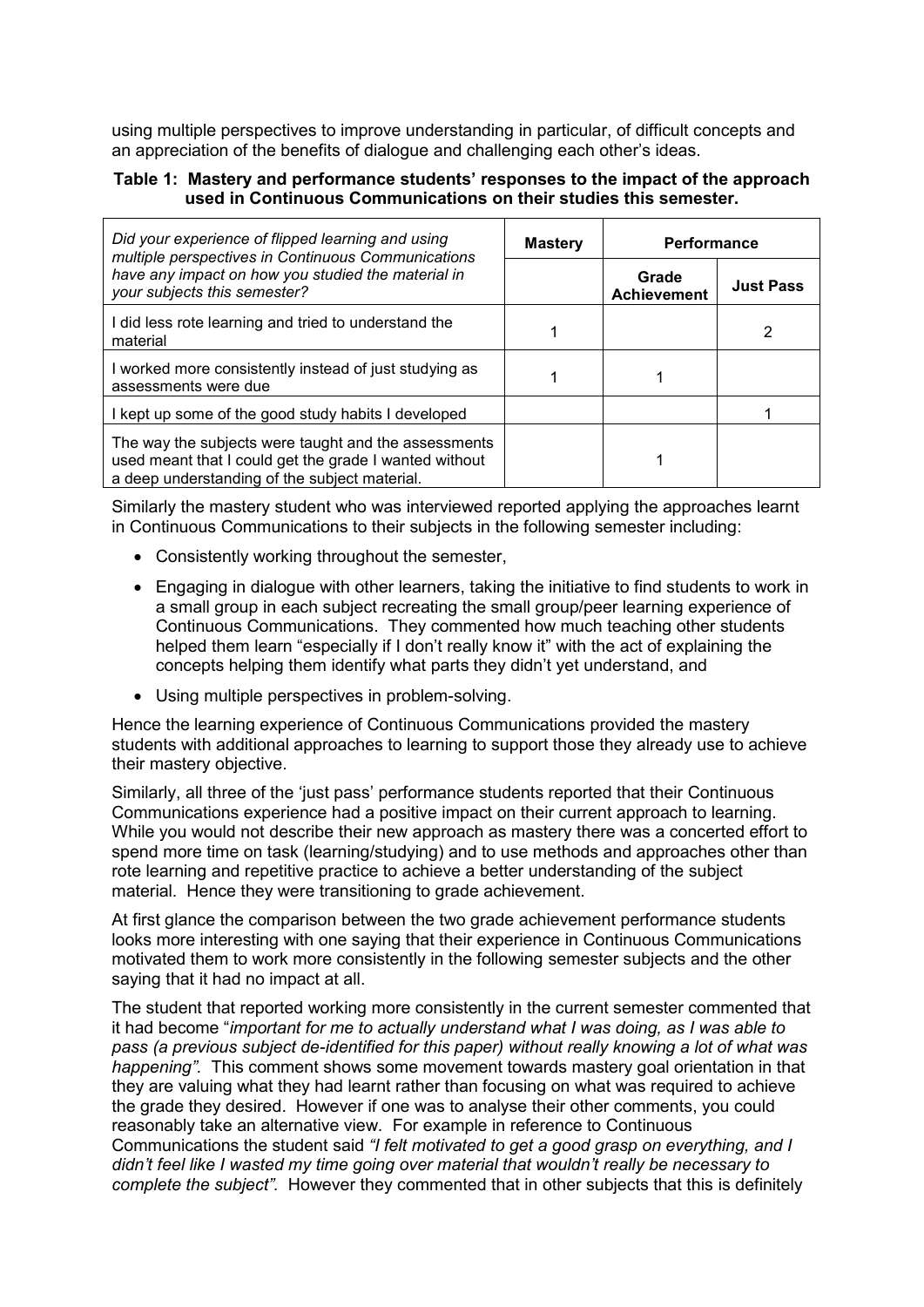using multiple perspectives to improve understanding in particular, of difficult concepts and an appreciation of the benefits of dialogue and challenging each other"s ideas.

### **Table 1: Mastery and performance students' responses to the impact of the approach used in Continuous Communications on their studies this semester.**

| Did your experience of flipped learning and using<br>multiple perspectives in Continuous Communications<br>have any impact on how you studied the material in<br>your subjects this semester? | <b>Mastery</b> | <b>Performance</b>          |                  |
|-----------------------------------------------------------------------------------------------------------------------------------------------------------------------------------------------|----------------|-----------------------------|------------------|
|                                                                                                                                                                                               |                | Grade<br><b>Achievement</b> | <b>Just Pass</b> |
| I did less rote learning and tried to understand the<br>material                                                                                                                              |                |                             |                  |
| I worked more consistently instead of just studying as<br>assessments were due                                                                                                                |                |                             |                  |
| I kept up some of the good study habits I developed                                                                                                                                           |                |                             |                  |
| The way the subjects were taught and the assessments<br>used meant that I could get the grade I wanted without<br>a deep understanding of the subject material.                               |                |                             |                  |

Similarly the mastery student who was interviewed reported applying the approaches learnt in Continuous Communications to their subjects in the following semester including:

- Consistently working throughout the semester,
- Engaging in dialogue with other learners, taking the initiative to find students to work in a small group in each subject recreating the small group/peer learning experience of Continuous Communications. They commented how much teaching other students helped them learn "especially if I don't really know it" with the act of explaining the concepts helping them identify what parts they didn"t yet understand, and
- Using multiple perspectives in problem-solving.

Hence the learning experience of Continuous Communications provided the mastery students with additional approaches to learning to support those they already use to achieve their mastery objective.

Similarly, all three of the "just pass" performance students reported that their Continuous Communications experience had a positive impact on their current approach to learning. While you would not describe their new approach as mastery there was a concerted effort to spend more time on task (learning/studying) and to use methods and approaches other than rote learning and repetitive practice to achieve a better understanding of the subject material. Hence they were transitioning to grade achievement.

At first glance the comparison between the two grade achievement performance students looks more interesting with one saying that their experience in Continuous Communications motivated them to work more consistently in the following semester subjects and the other saying that it had no impact at all.

The student that reported working more consistently in the current semester commented that it had become "*important for me to actually understand what I was doing, as I was able to pass (a previous subject de-identified for this paper) without really knowing a lot of what was happening".* This comment shows some movement towards mastery goal orientation in that they are valuing what they had learnt rather than focusing on what was required to achieve the grade they desired. However if one was to analyse their other comments, you could reasonably take an alternative view. For example in reference to Continuous Communications the student said *"I felt motivated to get a good grasp on everything, and I didn't feel like I wasted my time going over material that wouldn't really be necessary to complete the subject".* However they commented that in other subjects that this is definitely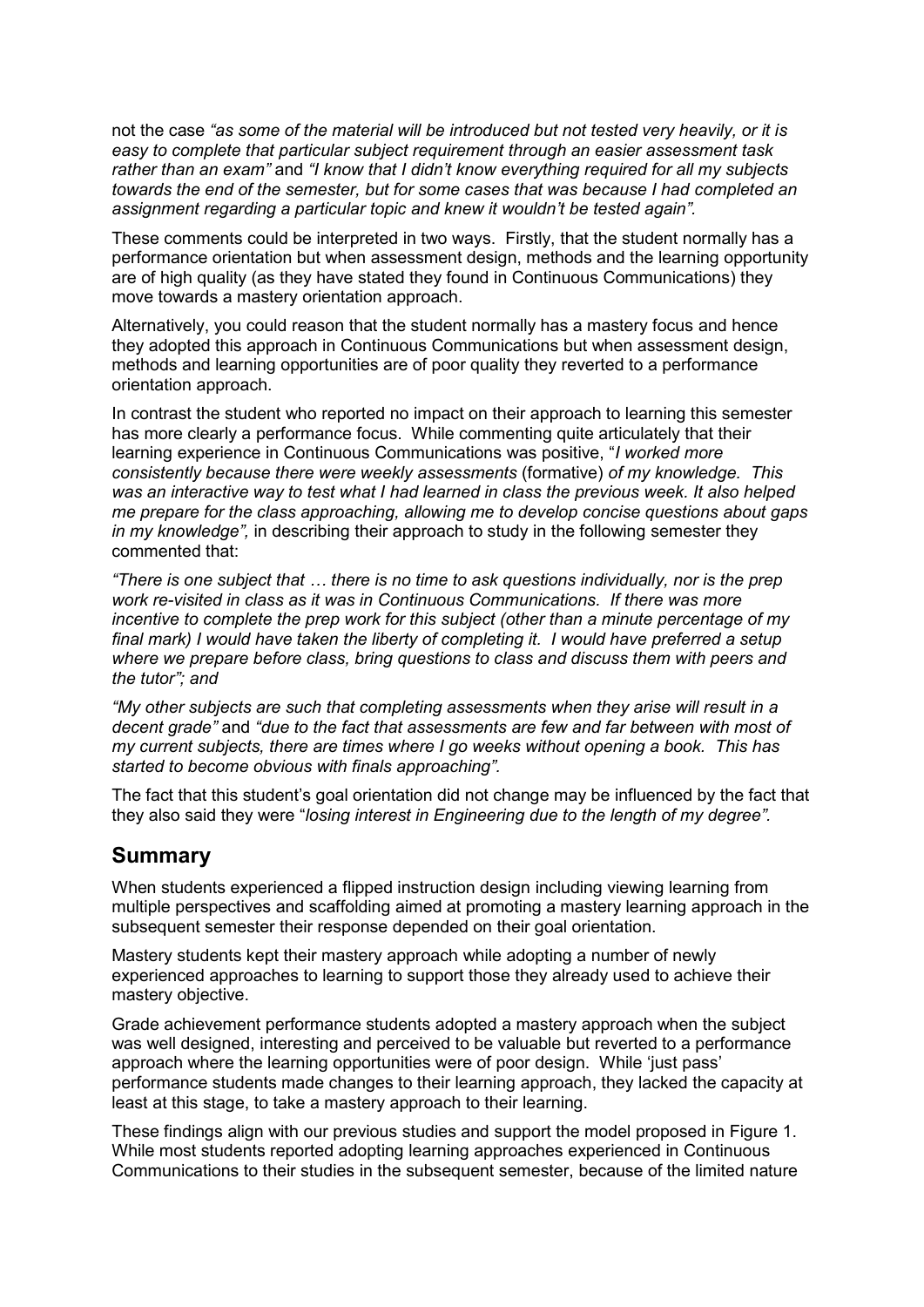not the case *"as some of the material will be introduced but not tested very heavily, or it is easy to complete that particular subject requirement through an easier assessment task rather than an exam"* and *"I know that I didn't know everything required for all my subjects towards the end of the semester, but for some cases that was because I had completed an assignment regarding a particular topic and knew it wouldn't be tested again".*

These comments could be interpreted in two ways. Firstly, that the student normally has a performance orientation but when assessment design, methods and the learning opportunity are of high quality (as they have stated they found in Continuous Communications) they move towards a mastery orientation approach.

Alternatively, you could reason that the student normally has a mastery focus and hence they adopted this approach in Continuous Communications but when assessment design, methods and learning opportunities are of poor quality they reverted to a performance orientation approach.

In contrast the student who reported no impact on their approach to learning this semester has more clearly a performance focus. While commenting quite articulately that their learning experience in Continuous Communications was positive, "*I worked more consistently because there were weekly assessments* (formative) *of my knowledge. This was an interactive way to test what I had learned in class the previous week. It also helped me prepare for the class approaching, allowing me to develop concise questions about gaps in my knowledge",* in describing their approach to study in the following semester they commented that:

*"There is one subject that … there is no time to ask questions individually, nor is the prep work re-visited in class as it was in Continuous Communications. If there was more incentive to complete the prep work for this subject (other than a minute percentage of my final mark) I would have taken the liberty of completing it. I would have preferred a setup where we prepare before class, bring questions to class and discuss them with peers and the tutor"; and*

*"My other subjects are such that completing assessments when they arise will result in a decent grade"* and *"due to the fact that assessments are few and far between with most of my current subjects, there are times where I go weeks without opening a book. This has started to become obvious with finals approaching".*

The fact that this student"s goal orientation did not change may be influenced by the fact that they also said they were "*losing interest in Engineering due to the length of my degree".*

## **Summary**

When students experienced a flipped instruction design including viewing learning from multiple perspectives and scaffolding aimed at promoting a mastery learning approach in the subsequent semester their response depended on their goal orientation.

Mastery students kept their mastery approach while adopting a number of newly experienced approaches to learning to support those they already used to achieve their mastery objective.

Grade achievement performance students adopted a mastery approach when the subject was well designed, interesting and perceived to be valuable but reverted to a performance approach where the learning opportunities were of poor design. While "just pass" performance students made changes to their learning approach, they lacked the capacity at least at this stage, to take a mastery approach to their learning.

These findings align with our previous studies and support the model proposed in Figure 1. While most students reported adopting learning approaches experienced in Continuous Communications to their studies in the subsequent semester, because of the limited nature